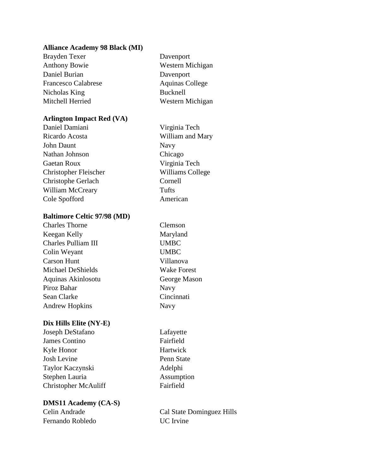#### **Alliance Academy 98 Black (MI)**

Brayden Texer Davenport Anthony Bowie Western Michigan Daniel Burian Davenport Francesco Calabrese Aquinas College Nicholas King Bucknell Mitchell Herried Western Michigan

## **Arlington Impact Red (VA)**

Daniel Damiani Virginia Tech Ricardo Acosta William and Mary John Daunt Navy Nathan Johnson Chicago Gaetan Roux Virginia Tech Christopher Fleischer Williams College Christophe Gerlach Cornell William McCreary Tufts Cole Spofford American

### **Baltimore Celtic 97/98 (MD)**

| <b>Charles Thorne</b> |
|-----------------------|
| Keegan Kelly          |
| Charles Pulliam III   |
| Colin Weyant          |
| <b>Carson Hunt</b>    |
| Michael DeShields     |
| Aquinas Akinlosotu    |
| Piroz Bahar           |
| Sean Clarke           |
| <b>Andrew Hopkins</b> |

## **Dix Hills Elite (NY-E)**

Joseph DeStafano Lafayette James Contino Fairfield Kyle Honor Hartwick Josh Levine Penn State Taylor Kaczynski Adelphi Stephen Lauria Assumption Christopher McAuliff Fairfield

## **DMS11 Academy (CA-S)**

Fernando Robledo UC Irvine

Clemson Maryland UMBC UMBC Villanova Wake Forest George Mason Navy Cincinnati Navy

Celin Andrade Cal State Dominguez Hills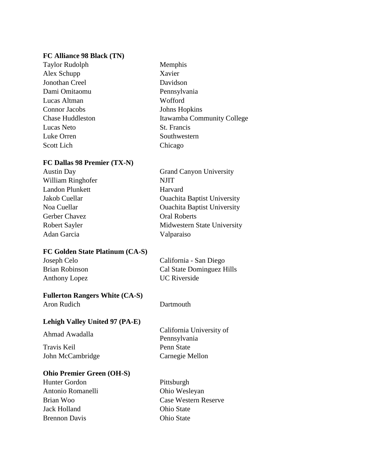#### **FC Alliance 98 Black (TN)**

Taylor Rudolph Memphis Alex Schupp Xavier Jonothan Creel Davidson Dami Omitaomu Pennsylvania Lucas Altman Wofford Connor Jacobs Johns Hopkins Chase Huddleston Itawamba Community College Lucas Neto St. Francis Luke Orren Southwestern Scott Lich Chicago

#### **FC Dallas 98 Premier (TX-N)**

| <b>Austin Day</b>      | <b>Grand Canyon University</b>     |
|------------------------|------------------------------------|
| William Ringhofer      | <b>NJIT</b>                        |
| <b>Landon Plunkett</b> | Harvard                            |
| Jakob Cuellar          | <b>Ouachita Baptist University</b> |
| Noa Cuellar            | <b>Ouachita Baptist University</b> |
| Gerber Chavez          | <b>Oral Roberts</b>                |
| <b>Robert Sayler</b>   | Midwestern State University        |
| Adan Garcia            | Valparaiso                         |
|                        |                                    |

#### **FC Golden State Platinum (CA-S)**

| Joseph Celo    | California - San Diego    |
|----------------|---------------------------|
| Brian Robinson | Cal State Dominguez Hills |
| Anthony Lopez  | <b>UC</b> Riverside       |

## **Fullerton Rangers White (CA-S)**

Aron Rudich Dartmouth

#### **Lehigh Valley United 97 (PA-E)**

Travis Keil Penn State John McCambridge Carnegie Mellon

## **Ohio Premier Green (OH-S)**

Hunter Gordon Pittsburgh Antonio Romanelli Ohio Wesleyan Jack Holland Ohio State Brennon Davis Ohio State

Ahmad Awadalla California University of Pennsylvania

Brian Woo Case Western Reserve